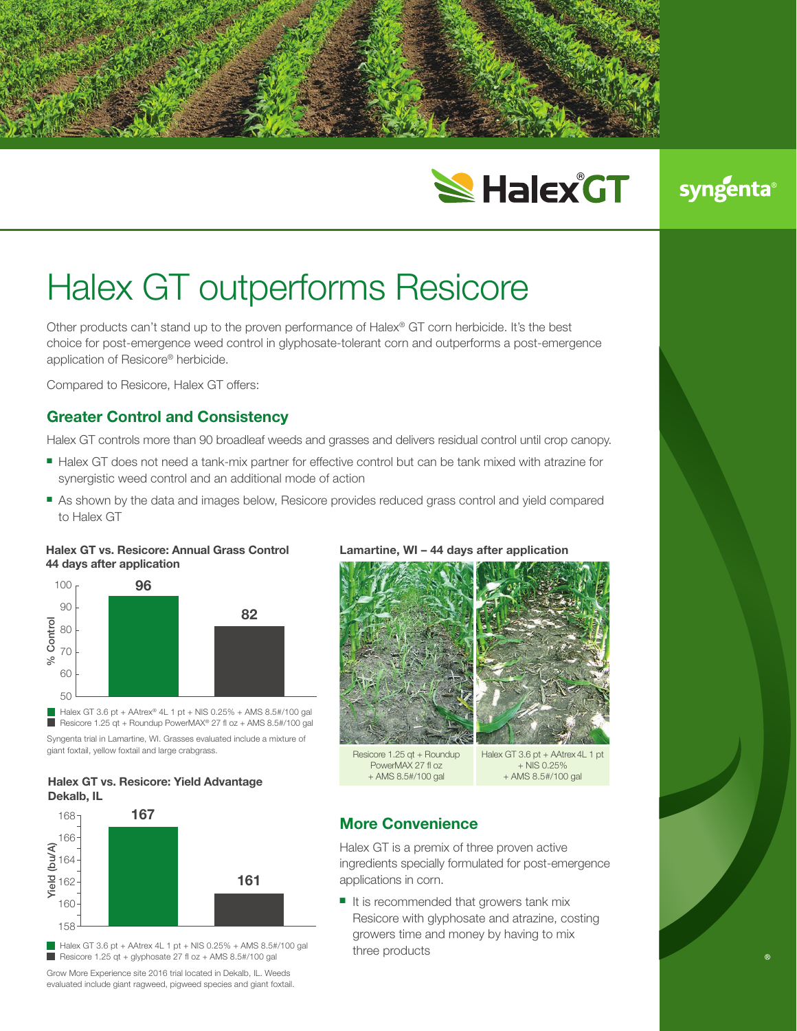

# **SHalex GT**

# syngenta

# Halex GT outperforms Resicore

Other products can't stand up to the proven performance of Halex® GT corn herbicide. It's the best choice for post-emergence weed control in glyphosate-tolerant corn and outperforms a post-emergence application of Resicore® herbicide.

Compared to Resicore, Halex GT offers:

# **Greater Control and Consistency**

Halex GT controls more than 90 broadleaf weeds and grasses and delivers residual control until crop canopy.

- Halex GT does not need a tank-mix partner for effective control but can be tank mixed with atrazine for synergistic weed control and an additional mode of action
- **As shown by the data and images below, Resicore provides reduced grass control and yield compared** to Halex GT

#### **Halex GT vs. Resicore: Annual Grass Control 44 days after application**



Syngenta trial in Lamartine, WI. Grasses evaluated include a mixture of giant foxtail, yellow foxtail and large crabgrass. ■ Resicore 1.25 qt + Roundup PowerMAX® 27 fl oz + AMS 8.5#/100 gal

#### **Halex GT vs. Resicore: Yield Advantage Dekalb, IL**



 $\blacksquare$  Halex GT 3.6 pt + AAtrex 4L 1 pt + NIS 0.25% + AMS 8.5#/100 gal Resicore 1.25 qt + glyphosate 27 fl  $oz$  + AMS 8.5#/100 gal

Grow More Experience site 2016 trial located in Dekalb, IL. Weeds evaluated include giant ragweed, pigweed species and giant foxtail.

#### **Lamartine, WI – 44 days after application**



Resicore 1.25 qt + Roundup PowerMAX 27 fl oz + AMS 8.5#/100 gal

Halex GT 3.6 pt + AAtrex 4L 1 pt  $+$  NIS 0.25% + AMS 8.5#/100 gal

### **More Convenience**

Halex GT is a premix of three proven active ingredients specially formulated for post-emergence applications in corn.

 $\blacksquare$  It is recommended that growers tank mix Resicore with glyphosate and atrazine, costing growers time and money by having to mix three products